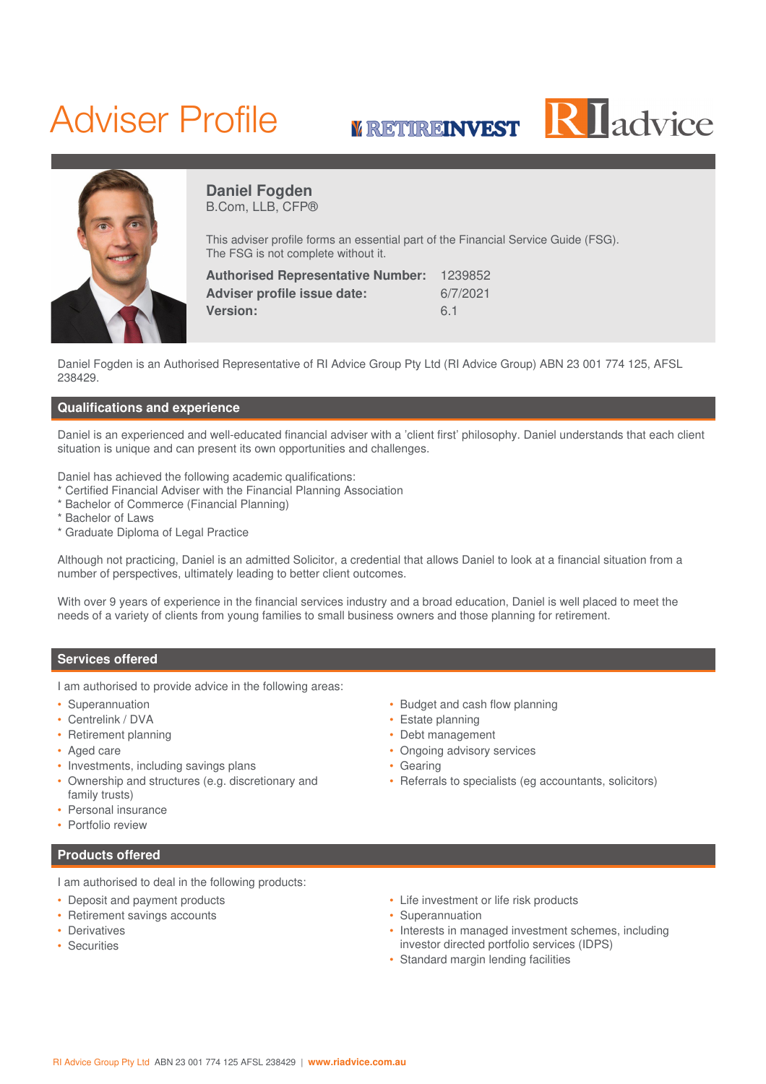# Adviser Profile







**Daniel Fogden** B.Com, LLB, CFP®

This adviser profile forms an essential part of the Financial Service Guide (FSG). The FSG is not complete without it.

| <b>Authorised Representative Number:</b> | 1239852  |
|------------------------------------------|----------|
| Adviser profile issue date:              | 6/7/2021 |
| <b>Version:</b>                          | 6.1      |

Daniel Fogden is an Authorised Representative of RI Advice Group Pty Ltd (RI Advice Group) ABN 23 001 774 125, AFSL 238429.

### **Qualifications and experience**

Daniel is an experienced and well-educated financial adviser with a 'client first' philosophy. Daniel understands that each client situation is unique and can present its own opportunities and challenges.

Daniel has achieved the following academic qualifications:

- Certified Financial Adviser with the Financial Planning Association
- \* Bachelor of Commerce (Financial Planning)
- \* Bachelor of Laws
- \* Graduate Diploma of Legal Practice

Although not practicing, Daniel is an admitted Solicitor, a credential that allows Daniel to look at a financial situation from a number of perspectives, ultimately leading to better client outcomes.

With over 9 years of experience in the financial services industry and a broad education, Daniel is well placed to meet the needs of a variety of clients from young families to small business owners and those planning for retirement.

### **Services offered**

I am authorised to provide advice in the following areas:

- Superannuation
- Centrelink / DVA
- Retirement planning
- Aged care
- Investments, including savings plans
- Ownership and structures (e.g. discretionary and family trusts)
- Personal insurance
- Portfolio review

# **Products offered**

I am authorised to deal in the following products:

- Deposit and payment products
- Retirement savings accounts
- Derivatives
- Securities
- Budget and cash flow planning
- Estate planning
- Debt management
- Ongoing advisory services
- Gearing
- Referrals to specialists (eg accountants, solicitors)
- Life investment or life risk products
- Superannuation
- Interests in managed investment schemes, including investor directed portfolio services (IDPS)
- Standard margin lending facilities